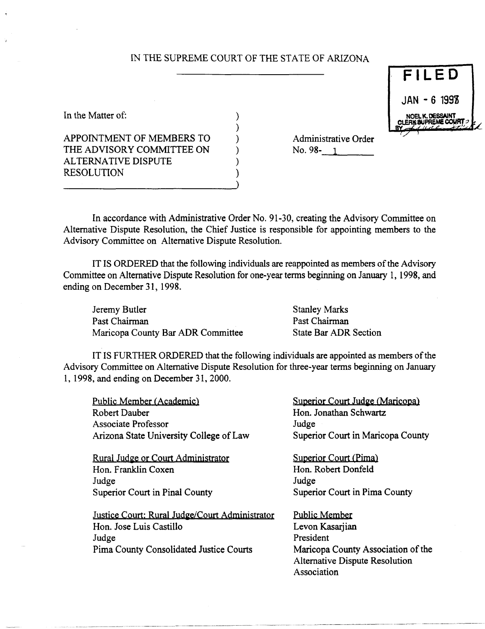## IN THE SUPREME COURT OF THE STATE OF ARIZONA

| In the Matter of:         |  |
|---------------------------|--|
|                           |  |
| APPOINTMENT OF MEMBERS TO |  |
| THE ADVISORY COMMITTEE ON |  |
| ALTERNATIVE DISPUTE       |  |
| <b>RESOLUTION</b>         |  |
|                           |  |

Administrative Order<br>No. 98-<u>1</u>

In accordance with Administrative Order No. 91-30, creating the Advisory Committee on Alternative Dispute Resolution, the Chief Justice is responsible for appointing members to the Advisory Committee on Alternative Dispute Resolution.

IT IS ORDERED that the following individuals are reappointed as members ofthe Advisory Committee on Alternative Dispute Resolution for one-year terms beginning on January 1, 1998, and ending on December 31, 1998.

Jeremy Butler Past Chairman Maricopa County Bar ADR Committee Stanley Marks Past Chairman State Bar ADR Section

IT IS FURTHER ORDERED that the following individuals are appointed as members of the Advisory Committee on Alternative Dispute Resolution for three-year terms beginning on January 1, 1998, and ending on December 31, 2000.

Public Member (Academic) Robert Dauber Associate Professor Arizona State University College of Law

Rural Judge or Court Administrator Hon. Franklin Coxen Judge Superior Court in Pinal County

Justice Court: Rural Judge/Court Administrator Hon. Jose Luis Castillo Judge Pima County Consolidated Justice Courts

Superior Court Judge (Maricopa) Hon. Jonathan Schwartz Judge Superior Court in Maricopa County

Superior Court (Pima) Hon. Robert Donfeld Judge Superior Court in Pima County

Public Member Levon Kasariian President Maricopa County Association of the Alternative Dispute Resolution Association

**FILE 0 JAN - 6 1998**